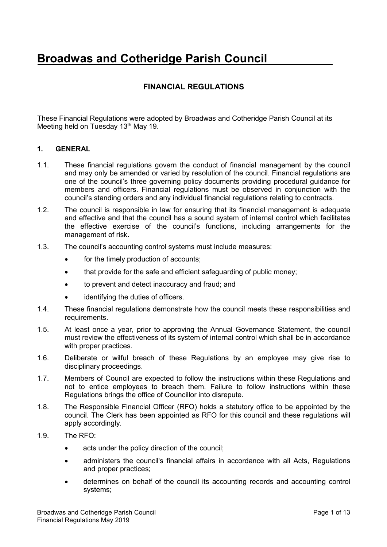# **Broadwas and Cotheridge Parish Council**

# **FINANCIAL REGULATIONS**

These Financial Regulations were adopted by Broadwas and Cotheridge Parish Council at its Meeting held on Tuesday 13<sup>th</sup> May 19.

#### **1. GENERAL**

- 1.1. These financial regulations govern the conduct of financial management by the council and may only be amended or varied by resolution of the council. Financial regulations are one of the council's three governing policy documents providing procedural guidance for members and officers. Financial regulations must be observed in conjunction with the council's standing orders and any individual financial regulations relating to contracts.
- 1.2. The council is responsible in law for ensuring that its financial management is adequate and effective and that the council has a sound system of internal control which facilitates the effective exercise of the council's functions, including arrangements for the management of risk.
- 1.3. The council's accounting control systems must include measures:
	- for the timely production of accounts:
	- that provide for the safe and efficient safeguarding of public money:
	- to prevent and detect inaccuracy and fraud; and
	- identifying the duties of officers.
- 1.4. These financial regulations demonstrate how the council meets these responsibilities and requirements.
- 1.5. At least once a year, prior to approving the Annual Governance Statement, the council must review the effectiveness of its system of internal control which shall be in accordance with proper practices.
- 1.6. Deliberate or wilful breach of these Regulations by an employee may give rise to disciplinary proceedings.
- 1.7. Members of Council are expected to follow the instructions within these Regulations and not to entice employees to breach them. Failure to follow instructions within these Regulations brings the office of Councillor into disrepute.
- 1.8. The Responsible Financial Officer (RFO) holds a statutory office to be appointed by the council. The Clerk has been appointed as RFO for this council and these regulations will apply accordingly.
- 1.9. The RFO:
	- acts under the policy direction of the council;
	- administers the council's financial affairs in accordance with all Acts, Regulations and proper practices;
	- determines on behalf of the council its accounting records and accounting control systems;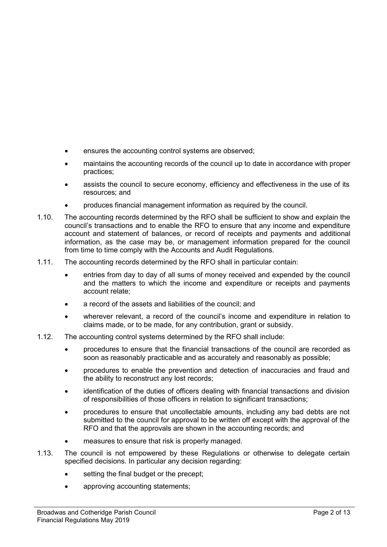- ensures the accounting control systems are observed;
- maintains the accounting records of the council up to date in accordance with proper practices;
- assists the council to secure economy, efficiency and effectiveness in the use of its resources; and
- produces financial management information as required by the council.
- 1.10. The accounting records determined by the RFO shall be sufficient to show and explain the council's transactions and to enable the RFO to ensure that any income and expenditure account and statement of balances, or record of receipts and payments and additional information, as the case may be, or management information prepared for the council from time to time comply with the Accounts and Audit Regulations.
- 1.11. The accounting records determined by the RFO shall in particular contain:
	- entries from day to day of all sums of money received and expended by the council and the matters to which the income and expenditure or receipts and payments account relate;
	- a record of the assets and liabilities of the council; and
	- wherever relevant, a record of the council's income and expenditure in relation to claims made, or to be made, for any contribution, grant or subsidy.
- 1.12. The accounting control systems determined by the RFO shall include:
	- procedures to ensure that the financial transactions of the council are recorded as soon as reasonably practicable and as accurately and reasonably as possible;
	- procedures to enable the prevention and detection of inaccuracies and fraud and the ability to reconstruct any lost records;
	- identification of the duties of officers dealing with financial transactions and division of responsibilities of those officers in relation to significant transactions;
	- procedures to ensure that uncollectable amounts, including any bad debts are not submitted to the council for approval to be written off except with the approval of the RFO and that the approvals are shown in the accounting records; and
	- measures to ensure that risk is properly managed.
- 1.13. The council is not empowered by these Regulations or otherwise to delegate certain specified decisions. In particular any decision regarding:
	- setting the final budget or the precept;
	- approving accounting statements;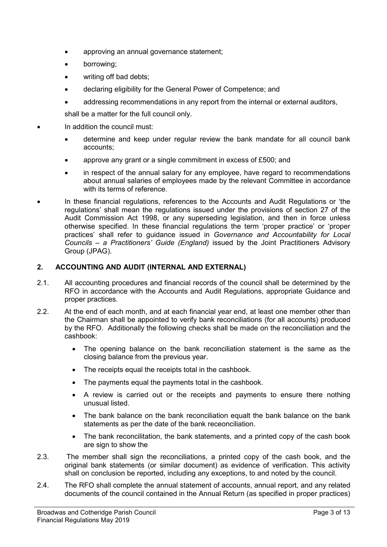- approving an annual governance statement;
- borrowing;
- writing off bad debts;
- declaring eligibility for the General Power of Competence; and
- addressing recommendations in any report from the internal or external auditors,

shall be a matter for the full council only.

- In addition the council must:
	- determine and keep under regular review the bank mandate for all council bank accounts;
	- approve any grant or a single commitment in excess of £500; and
	- in respect of the annual salary for any employee, have regard to recommendations about annual salaries of employees made by the relevant Committee in accordance with its terms of reference.
- In these financial regulations, references to the Accounts and Audit Regulations or 'the regulations' shall mean the regulations issued under the provisions of section 27 of the Audit Commission Act 1998, or any superseding legislation, and then in force unless otherwise specified. In these financial regulations the term 'proper practice' or 'proper practices' shall refer to guidance issued in *Governance and Accountability for Local Councils – a Practitioners' Guide (England)* issued by the Joint Practitioners Advisory Group (JPAG).

# **2. ACCOUNTING AND AUDIT (INTERNAL AND EXTERNAL)**

- 2.1. All accounting procedures and financial records of the council shall be determined by the RFO in accordance with the Accounts and Audit Regulations, appropriate Guidance and proper practices.
- 2.2. At the end of each month, and at each financial year end, at least one member other than the Chairman shall be appointed to verify bank reconciliations (for all accounts) produced by the RFO. Additionally the following checks shall be made on the reconciliation and the cashbook:
	- The opening balance on the bank reconciliation statement is the same as the closing balance from the previous year.
	- The receipts equal the receipts total in the cashbook.
	- The payments equal the payments total in the cashbook.
	- A review is carried out or the receipts and payments to ensure there nothing unusual listed.
	- The bank balance on the bank reconciliation equalt the bank balance on the bank statements as per the date of the bank receonciliation.
	- The bank reconcilitation, the bank statements, and a printed copy of the cash book are sign to show the
- 2.3. The member shall sign the reconciliations, a printed copy of the cash book, and the original bank statements (or similar document) as evidence of verification. This activity shall on conclusion be reported, including any exceptions, to and noted by the council.
- 2.4. The RFO shall complete the annual statement of accounts, annual report, and any related documents of the council contained in the Annual Return (as specified in proper practices)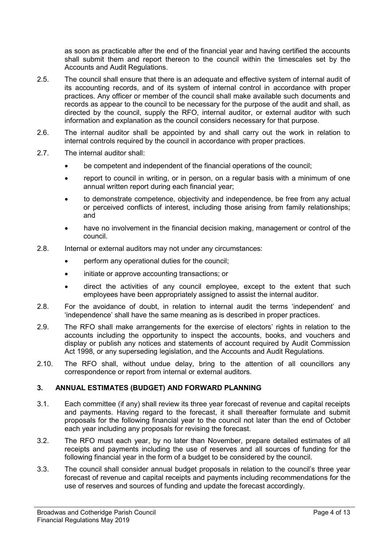as soon as practicable after the end of the financial year and having certified the accounts shall submit them and report thereon to the council within the timescales set by the Accounts and Audit Regulations.

- 2.5. The council shall ensure that there is an adequate and effective system of internal audit of its accounting records, and of its system of internal control in accordance with proper practices. Any officer or member of the council shall make available such documents and records as appear to the council to be necessary for the purpose of the audit and shall, as directed by the council, supply the RFO, internal auditor, or external auditor with such information and explanation as the council considers necessary for that purpose.
- 2.6. The internal auditor shall be appointed by and shall carry out the work in relation to internal controls required by the council in accordance with proper practices.
- 2.7. The internal auditor shall:
	- be competent and independent of the financial operations of the council;
	- report to council in writing, or in person, on a regular basis with a minimum of one annual written report during each financial year;
	- to demonstrate competence, objectivity and independence, be free from any actual or perceived conflicts of interest, including those arising from family relationships; and
	- have no involvement in the financial decision making, management or control of the council.
- 2.8. Internal or external auditors may not under any circumstances:
	- perform any operational duties for the council;
	- initiate or approve accounting transactions; or
	- direct the activities of any council employee, except to the extent that such employees have been appropriately assigned to assist the internal auditor.
- 2.8. For the avoidance of doubt, in relation to internal audit the terms 'independent' and 'independence' shall have the same meaning as is described in proper practices.
- 2.9. The RFO shall make arrangements for the exercise of electors' rights in relation to the accounts including the opportunity to inspect the accounts, books, and vouchers and display or publish any notices and statements of account required by Audit Commission Act 1998, or any superseding legislation, and the Accounts and Audit Regulations.
- 2.10. The RFO shall, without undue delay, bring to the attention of all councillors any correspondence or report from internal or external auditors.

#### **3. ANNUAL ESTIMATES (BUDGET) AND FORWARD PLANNING**

- 3.1. Each committee (if any) shall review its three year forecast of revenue and capital receipts and payments. Having regard to the forecast, it shall thereafter formulate and submit proposals for the following financial year to the council not later than the end of October each year including any proposals for revising the forecast.
- 3.2. The RFO must each year, by no later than November, prepare detailed estimates of all receipts and payments including the use of reserves and all sources of funding for the following financial year in the form of a budget to be considered by the council.
- 3.3. The council shall consider annual budget proposals in relation to the council's three year forecast of revenue and capital receipts and payments including recommendations for the use of reserves and sources of funding and update the forecast accordingly.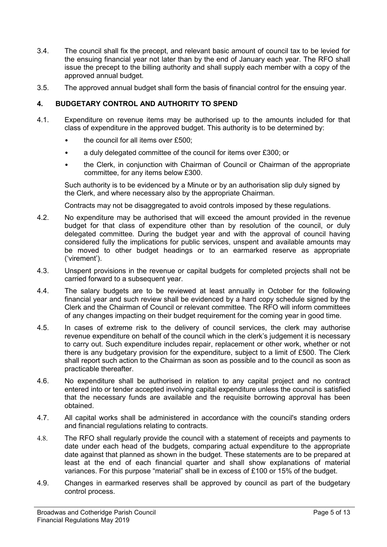- 3.4. The council shall fix the precept, and relevant basic amount of council tax to be levied for the ensuing financial year not later than by the end of January each year. The RFO shall issue the precept to the billing authority and shall supply each member with a copy of the approved annual budget.
- 3.5. The approved annual budget shall form the basis of financial control for the ensuing year.

# **4. BUDGETARY CONTROL AND AUTHORITY TO SPEND**

- 4.1. Expenditure on revenue items may be authorised up to the amounts included for that class of expenditure in the approved budget. This authority is to be determined by:
	- the council for all items over £500:
	- a duly delegated committee of the council for items over £300; or
	- the Clerk, in conjunction with Chairman of Council or Chairman of the appropriate committee, for any items below £300.

Such authority is to be evidenced by a Minute or by an authorisation slip duly signed by the Clerk, and where necessary also by the appropriate Chairman.

Contracts may not be disaggregated to avoid controls imposed by these regulations.

- 4.2. No expenditure may be authorised that will exceed the amount provided in the revenue budget for that class of expenditure other than by resolution of the council, or duly delegated committee. During the budget year and with the approval of council having considered fully the implications for public services, unspent and available amounts may be moved to other budget headings or to an earmarked reserve as appropriate ('virement').
- 4.3. Unspent provisions in the revenue or capital budgets for completed projects shall not be carried forward to a subsequent year.
- 4.4. The salary budgets are to be reviewed at least annually in October for the following financial year and such review shall be evidenced by a hard copy schedule signed by the Clerk and the Chairman of Council or relevant committee. The RFO will inform committees of any changes impacting on their budget requirement for the coming year in good time.
- 4.5. In cases of extreme risk to the delivery of council services, the clerk may authorise revenue expenditure on behalf of the council which in the clerk's judgement it is necessary to carry out. Such expenditure includes repair, replacement or other work, whether or not there is any budgetary provision for the expenditure, subject to a limit of £500. The Clerk shall report such action to the Chairman as soon as possible and to the council as soon as practicable thereafter.
- 4.6. No expenditure shall be authorised in relation to any capital project and no contract entered into or tender accepted involving capital expenditure unless the council is satisfied that the necessary funds are available and the requisite borrowing approval has been obtained.
- 4.7. All capital works shall be administered in accordance with the council's standing orders and financial regulations relating to contracts.
- 4.8. The RFO shall regularly provide the council with a statement of receipts and payments to date under each head of the budgets, comparing actual expenditure to the appropriate date against that planned as shown in the budget. These statements are to be prepared at least at the end of each financial quarter and shall show explanations of material variances. For this purpose "material" shall be in excess of £100 or 15% of the budget.
- 4.9. Changes in earmarked reserves shall be approved by council as part of the budgetary control process.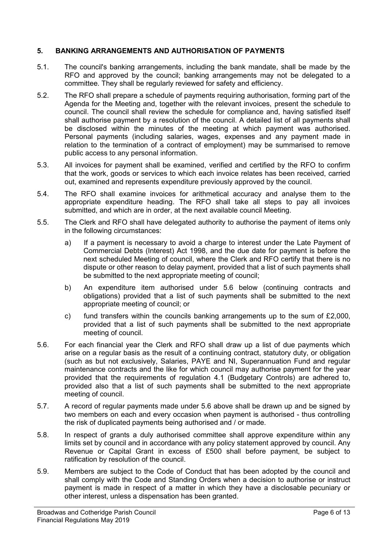## **5. BANKING ARRANGEMENTS AND AUTHORISATION OF PAYMENTS**

- 5.1. The council's banking arrangements, including the bank mandate, shall be made by the RFO and approved by the council; banking arrangements may not be delegated to a committee. They shall be regularly reviewed for safety and efficiency.
- 5.2. The RFO shall prepare a schedule of payments requiring authorisation, forming part of the Agenda for the Meeting and, together with the relevant invoices, present the schedule to council. The council shall review the schedule for compliance and, having satisfied itself shall authorise payment by a resolution of the council. A detailed list of all payments shall be disclosed within the minutes of the meeting at which payment was authorised. Personal payments (including salaries, wages, expenses and any payment made in relation to the termination of a contract of employment) may be summarised to remove public access to any personal information.
- 5.3. All invoices for payment shall be examined, verified and certified by the RFO to confirm that the work, goods or services to which each invoice relates has been received, carried out, examined and represents expenditure previously approved by the council.
- 5.4. The RFO shall examine invoices for arithmetical accuracy and analyse them to the appropriate expenditure heading. The RFO shall take all steps to pay all invoices submitted, and which are in order, at the next available council Meeting.
- 5.5. The Clerk and RFO shall have delegated authority to authorise the payment of items only in the following circumstances:
	- a) If a payment is necessary to avoid a charge to interest under the Late Payment of Commercial Debts (Interest) Act 1998, and the due date for payment is before the next scheduled Meeting of council, where the Clerk and RFO certify that there is no dispute or other reason to delay payment, provided that a list of such payments shall be submitted to the next appropriate meeting of council;
	- b) An expenditure item authorised under 5.6 below (continuing contracts and obligations) provided that a list of such payments shall be submitted to the next appropriate meeting of council; or
	- c) fund transfers within the councils banking arrangements up to the sum of  $£2,000$ , provided that a list of such payments shall be submitted to the next appropriate meeting of council.
- 5.6. For each financial year the Clerk and RFO shall draw up a list of due payments which arise on a regular basis as the result of a continuing contract, statutory duty, or obligation (such as but not exclusively, Salaries, PAYE and NI, Superannuation Fund and regular maintenance contracts and the like for which council may authorise payment for the year provided that the requirements of regulation 4.1 (Budgetary Controls) are adhered to, provided also that a list of such payments shall be submitted to the next appropriate meeting of council.
- 5.7. A record of regular payments made under 5.6 above shall be drawn up and be signed by two members on each and every occasion when payment is authorised - thus controlling the risk of duplicated payments being authorised and / or made.
- 5.8. In respect of grants a duly authorised committee shall approve expenditure within any limits set by council and in accordance with any policy statement approved by council. Any Revenue or Capital Grant in excess of £500 shall before payment, be subject to ratification by resolution of the council.
- 5.9. Members are subject to the Code of Conduct that has been adopted by the council and shall comply with the Code and Standing Orders when a decision to authorise or instruct payment is made in respect of a matter in which they have a disclosable pecuniary or other interest, unless a dispensation has been granted.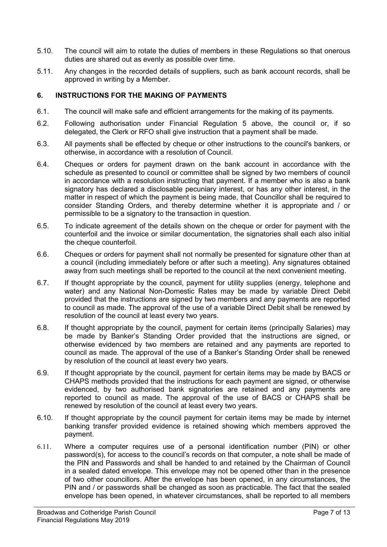- 5.10. The council will aim to rotate the duties of members in these Regulations so that onerous duties are shared out as evenly as possible over time.
- 5.11. Any changes in the recorded details of suppliers, such as bank account records, shall be approved in writing by a Member.

# **6. INSTRUCTIONS FOR THE MAKING OF PAYMENTS**

- 6.1. The council will make safe and efficient arrangements for the making of its payments.
- 6.2. Following authorisation under Financial Regulation 5 above, the council or, if so delegated, the Clerk or RFO shall give instruction that a payment shall be made.
- 6.3. All payments shall be effected by cheque or other instructions to the council's bankers, or otherwise, in accordance with a resolution of Council.
- 6.4. Cheques or orders for payment drawn on the bank account in accordance with the schedule as presented to council or committee shall be signed by two members of council in accordance with a resolution instructing that payment. If a member who is also a bank signatory has declared a disclosable pecuniary interest, or has any other interest, in the matter in respect of which the payment is being made, that Councillor shall be required to consider Standing Orders, and thereby determine whether it is appropriate and / or permissible to be a signatory to the transaction in question.
- 6.5. To indicate agreement of the details shown on the cheque or order for payment with the counterfoil and the invoice or similar documentation, the signatories shall each also initial the cheque counterfoil.
- 6.6. Cheques or orders for payment shall not normally be presented for signature other than at a council (including immediately before or after such a meeting). Any signatures obtained away from such meetings shall be reported to the council at the next convenient meeting.
- 6.7. If thought appropriate by the council, payment for utility supplies (energy, telephone and water) and any National Non-Domestic Rates may be made by variable Direct Debit provided that the instructions are signed by two members and any payments are reported to council as made. The approval of the use of a variable Direct Debit shall be renewed by resolution of the council at least every two years.
- 6.8. If thought appropriate by the council, payment for certain items (principally Salaries) may be made by Banker's Standing Order provided that the instructions are signed, or otherwise evidenced by two members are retained and any payments are reported to council as made. The approval of the use of a Banker's Standing Order shall be renewed by resolution of the council at least every two years.
- 6.9. If thought appropriate by the council, payment for certain items may be made by BACS or CHAPS methods provided that the instructions for each payment are signed, or otherwise evidenced, by two authorised bank signatories are retained and any payments are reported to council as made. The approval of the use of BACS or CHAPS shall be renewed by resolution of the council at least every two years.
- 6.10. If thought appropriate by the council payment for certain items may be made by internet banking transfer provided evidence is retained showing which members approved the payment.
- 6.11. Where a computer requires use of a personal identification number (PIN) or other password(s), for access to the council's records on that computer, a note shall be made of the PIN and Passwords and shall be handed to and retained by the Chairman of Council in a sealed dated envelope. This envelope may not be opened other than in the presence of two other councillors. After the envelope has been opened, in any circumstances, the PIN and / or passwords shall be changed as soon as practicable. The fact that the sealed envelope has been opened, in whatever circumstances, shall be reported to all members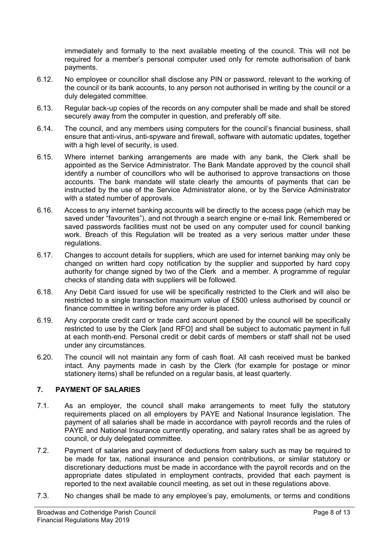immediately and formally to the next available meeting of the council. This will not be required for a member's personal computer used only for remote authorisation of bank payments.

- 6.12. No employee or councillor shall disclose any PIN or password, relevant to the working of the council or its bank accounts, to any person not authorised in writing by the council or a duly delegated committee.
- 6.13. Regular back-up copies of the records on any computer shall be made and shall be stored securely away from the computer in question, and preferably off site.
- 6.14. The council, and any members using computers for the council's financial business, shall ensure that anti-virus, anti-spyware and firewall, software with automatic updates, together with a high level of security, is used.
- 6.15. Where internet banking arrangements are made with any bank, the Clerk shall be appointed as the Service Administrator. The Bank Mandate approved by the council shall identify a number of councillors who will be authorised to approve transactions on those accounts. The bank mandate will state clearly the amounts of payments that can be instructed by the use of the Service Administrator alone, or by the Service Administrator with a stated number of approvals.
- 6.16. Access to any internet banking accounts will be directly to the access page (which may be saved under "favourites"), and not through a search engine or e-mail link. Remembered or saved passwords facilities must not be used on any computer used for council banking work. Breach of this Regulation will be treated as a very serious matter under these regulations.
- 6.17. Changes to account details for suppliers, which are used for internet banking may only be changed on written hard copy notification by the supplier and supported by hard copy authority for change signed by two of the Clerk and a member. A programme of regular checks of standing data with suppliers will be followed.
- 6.18. Any Debit Card issued for use will be specifically restricted to the Clerk and will also be restricted to a single transaction maximum value of £500 unless authorised by council or finance committee in writing before any order is placed.
- 6.19. Any corporate credit card or trade card account opened by the council will be specifically restricted to use by the Clerk [and RFO] and shall be subject to automatic payment in full at each month-end. Personal credit or debit cards of members or staff shall not be used under any circumstances.
- 6.20. The council will not maintain any form of cash float. All cash received must be banked intact. Any payments made in cash by the Clerk (for example for postage or minor stationery items) shall be refunded on a regular basis, at least quarterly.

# **7. PAYMENT OF SALARIES**

- 7.1. As an employer, the council shall make arrangements to meet fully the statutory requirements placed on all employers by PAYE and National Insurance legislation. The payment of all salaries shall be made in accordance with payroll records and the rules of PAYE and National Insurance currently operating, and salary rates shall be as agreed by council, or duly delegated committee.
- 7.2. Payment of salaries and payment of deductions from salary such as may be required to be made for tax, national insurance and pension contributions, or similar statutory or discretionary deductions must be made in accordance with the payroll records and on the appropriate dates stipulated in employment contracts, provided that each payment is reported to the next available council meeting, as set out in these regulations above.
- 7.3. No changes shall be made to any employee's pay, emoluments, or terms and conditions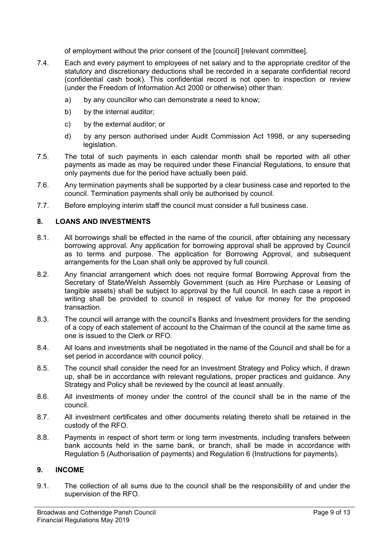of employment without the prior consent of the [council] [relevant committee].

- 7.4. Each and every payment to employees of net salary and to the appropriate creditor of the statutory and discretionary deductions shall be recorded in a separate confidential record (confidential cash book). This confidential record is not open to inspection or review (under the Freedom of Information Act 2000 or otherwise) other than:
	- a) by any councillor who can demonstrate a need to know;
	- b) by the internal auditor;
	- c) by the external auditor; or
	- d) by any person authorised under Audit Commission Act 1998, or any superseding legislation.
- 7.5. The total of such payments in each calendar month shall be reported with all other payments as made as may be required under these Financial Regulations, to ensure that only payments due for the period have actually been paid.
- 7.6. Any termination payments shall be supported by a clear business case and reported to the council. Termination payments shall only be authorised by council.
- 7.7. Before employing interim staff the council must consider a full business case.

#### **8. LOANS AND INVESTMENTS**

- 8.1. All borrowings shall be effected in the name of the council, after obtaining any necessary borrowing approval. Any application for borrowing approval shall be approved by Council as to terms and purpose. The application for Borrowing Approval, and subsequent arrangements for the Loan shall only be approved by full council.
- 8.2. Any financial arrangement which does not require formal Borrowing Approval from the Secretary of State/Welsh Assembly Government (such as Hire Purchase or Leasing of tangible assets) shall be subject to approval by the full council. In each case a report in writing shall be provided to council in respect of value for money for the proposed transaction.
- 8.3. The council will arrange with the council's Banks and Investment providers for the sending of a copy of each statement of account to the Chairman of the council at the same time as one is issued to the Clerk or RFO.
- 8.4. All loans and investments shall be negotiated in the name of the Council and shall be for a set period in accordance with council policy.
- 8.5. The council shall consider the need for an Investment Strategy and Policy which, if drawn up, shall be in accordance with relevant regulations, proper practices and guidance. Any Strategy and Policy shall be reviewed by the council at least annually.
- 8.6. All investments of money under the control of the council shall be in the name of the council.
- 8.7. All investment certificates and other documents relating thereto shall be retained in the custody of the RFO.
- 8.8. Payments in respect of short term or long term investments, including transfers between bank accounts held in the same bank, or branch, shall be made in accordance with Regulation 5 (Authorisation of payments) and Regulation 6 (Instructions for payments).

#### **9. INCOME**

9.1. The collection of all sums due to the council shall be the responsibility of and under the supervision of the RFO.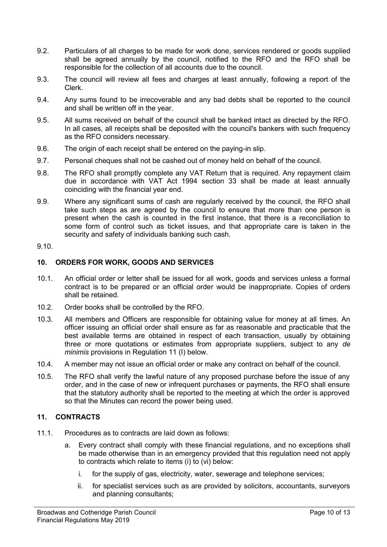- 9.2. Particulars of all charges to be made for work done, services rendered or goods supplied shall be agreed annually by the council, notified to the RFO and the RFO shall be responsible for the collection of all accounts due to the council.
- 9.3. The council will review all fees and charges at least annually, following a report of the Clerk.
- 9.4. Any sums found to be irrecoverable and any bad debts shall be reported to the council and shall be written off in the year.
- 9.5. All sums received on behalf of the council shall be banked intact as directed by the RFO. In all cases, all receipts shall be deposited with the council's bankers with such frequency as the RFO considers necessary.
- 9.6. The origin of each receipt shall be entered on the paying-in slip.
- 9.7. Personal cheques shall not be cashed out of money held on behalf of the council.
- 9.8. The RFO shall promptly complete any VAT Return that is required. Any repayment claim due in accordance with VAT Act 1994 section 33 shall be made at least annually coinciding with the financial year end.
- 9.9. Where any significant sums of cash are regularly received by the council, the RFO shall take such steps as are agreed by the council to ensure that more than one person is present when the cash is counted in the first instance, that there is a reconciliation to some form of control such as ticket issues, and that appropriate care is taken in the security and safety of individuals banking such cash.

#### 9.10.

#### **10. ORDERS FOR WORK, GOODS AND SERVICES**

- 10.1. An official order or letter shall be issued for all work, goods and services unless a formal contract is to be prepared or an official order would be inappropriate. Copies of orders shall be retained.
- 10.2. Order books shall be controlled by the RFO.
- 10.3. All members and Officers are responsible for obtaining value for money at all times. An officer issuing an official order shall ensure as far as reasonable and practicable that the best available terms are obtained in respect of each transaction, usually by obtaining three or more quotations or estimates from appropriate suppliers, subject to any *de minimis* provisions in Regulation 11 (I) below.
- 10.4. A member may not issue an official order or make any contract on behalf of the council.
- 10.5. The RFO shall verify the lawful nature of any proposed purchase before the issue of any order, and in the case of new or infrequent purchases or payments, the RFO shall ensure that the statutory authority shall be reported to the meeting at which the order is approved so that the Minutes can record the power being used.

#### **11. CONTRACTS**

- 11.1. Procedures as to contracts are laid down as follows:
	- a. Every contract shall comply with these financial regulations, and no exceptions shall be made otherwise than in an emergency provided that this regulation need not apply to contracts which relate to items (i) to (vi) below:
		- i. for the supply of gas, electricity, water, sewerage and telephone services;
		- ii. for specialist services such as are provided by solicitors, accountants, surveyors and planning consultants;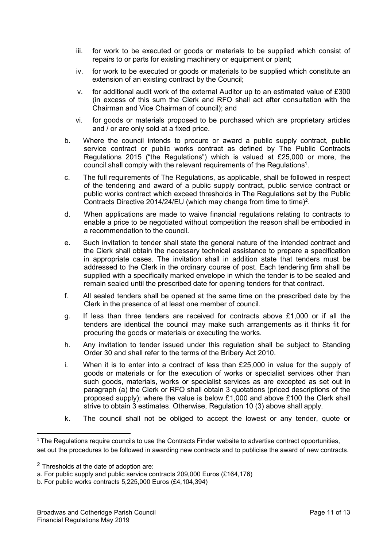- iii. for work to be executed or goods or materials to be supplied which consist of repairs to or parts for existing machinery or equipment or plant;
- iv. for work to be executed or goods or materials to be supplied which constitute an extension of an existing contract by the Council;
- v. for additional audit work of the external Auditor up to an estimated value of £300 (in excess of this sum the Clerk and RFO shall act after consultation with the Chairman and Vice Chairman of council); and
- vi. for goods or materials proposed to be purchased which are proprietary articles and / or are only sold at a fixed price.
- b. Where the council intends to procure or award a public supply contract, public service contract or public works contract as defined by The Public Contracts Regulations 2015 ("the Regulations") which is valued at £25,000 or more, the council shall comply with the relevant requirements of the Regulations $^{\text{1}}$ .
- c. The full requirements of The Regulations, as applicable, shall be followed in respect of the tendering and award of a public supply contract, public service contract or public works contract which exceed thresholds in The Regulations set by the Public Contracts Directive 2014/24/EU (which may change from time to time)<sup>2</sup>.
- d. When applications are made to waive financial regulations relating to contracts to enable a price to be negotiated without competition the reason shall be embodied in a recommendation to the council.
- e. Such invitation to tender shall state the general nature of the intended contract and the Clerk shall obtain the necessary technical assistance to prepare a specification in appropriate cases. The invitation shall in addition state that tenders must be addressed to the Clerk in the ordinary course of post. Each tendering firm shall be supplied with a specifically marked envelope in which the tender is to be sealed and remain sealed until the prescribed date for opening tenders for that contract.
- f. All sealed tenders shall be opened at the same time on the prescribed date by the Clerk in the presence of at least one member of council.
- g. If less than three tenders are received for contracts above £1,000 or if all the tenders are identical the council may make such arrangements as it thinks fit for procuring the goods or materials or executing the works.
- h. Any invitation to tender issued under this regulation shall be subject to Standing Order 30 and shall refer to the terms of the Bribery Act 2010.
- i. When it is to enter into a contract of less than £25,000 in value for the supply of goods or materials or for the execution of works or specialist services other than such goods, materials, works or specialist services as are excepted as set out in paragraph (a) the Clerk or RFO shall obtain 3 quotations (priced descriptions of the proposed supply); where the value is below £1,000 and above £100 the Clerk shall strive to obtain 3 estimates. Otherwise, Regulation 10 (3) above shall apply.
- k. The council shall not be obliged to accept the lowest or any tender, quote or

 $\overline{a}$ 

<sup>&</sup>lt;sup>1</sup> The Regulations require councils to use the Contracts Finder website to advertise contract opportunities, set out the procedures to be followed in awarding new contracts and to publicise the award of new contracts.

<sup>2</sup> Thresholds at the date of adoption are:

a. For public supply and public service contracts 209,000 Euros (£164,176)

b. For public works contracts 5,225,000 Euros (£4,104,394)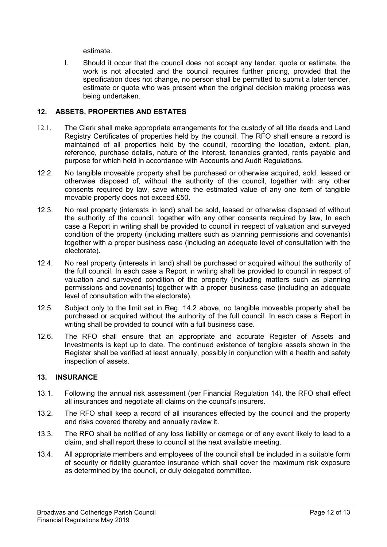estimate.

l. Should it occur that the council does not accept any tender, quote or estimate, the work is not allocated and the council requires further pricing, provided that the specification does not change, no person shall be permitted to submit a later tender, estimate or quote who was present when the original decision making process was being undertaken.

# **12. ASSETS, PROPERTIES AND ESTATES**

- 12.1. The Clerk shall make appropriate arrangements for the custody of all title deeds and Land Registry Certificates of properties held by the council. The RFO shall ensure a record is maintained of all properties held by the council, recording the location, extent, plan, reference, purchase details, nature of the interest, tenancies granted, rents payable and purpose for which held in accordance with Accounts and Audit Regulations.
- 12.2. No tangible moveable property shall be purchased or otherwise acquired, sold, leased or otherwise disposed of, without the authority of the council, together with any other consents required by law, save where the estimated value of any one item of tangible movable property does not exceed £50.
- 12.3. No real property (interests in land) shall be sold, leased or otherwise disposed of without the authority of the council, together with any other consents required by law, In each case a Report in writing shall be provided to council in respect of valuation and surveyed condition of the property (including matters such as planning permissions and covenants) together with a proper business case (including an adequate level of consultation with the electorate).
- 12.4. No real property (interests in land) shall be purchased or acquired without the authority of the full council. In each case a Report in writing shall be provided to council in respect of valuation and surveyed condition of the property (including matters such as planning permissions and covenants) together with a proper business case (including an adequate level of consultation with the electorate).
- 12.5. Subject only to the limit set in Reg. 14.2 above, no tangible moveable property shall be purchased or acquired without the authority of the full council. In each case a Report in writing shall be provided to council with a full business case.
- 12.6. The RFO shall ensure that an appropriate and accurate Register of Assets and Investments is kept up to date. The continued existence of tangible assets shown in the Register shall be verified at least annually, possibly in conjunction with a health and safety inspection of assets.

#### **13. INSURANCE**

- 13.1. Following the annual risk assessment (per Financial Regulation 14), the RFO shall effect all insurances and negotiate all claims on the council's insurers.
- 13.2. The RFO shall keep a record of all insurances effected by the council and the property and risks covered thereby and annually review it.
- 13.3. The RFO shall be notified of any loss liability or damage or of any event likely to lead to a claim, and shall report these to council at the next available meeting.
- 13.4. All appropriate members and employees of the council shall be included in a suitable form of security or fidelity guarantee insurance which shall cover the maximum risk exposure as determined by the council, or duly delegated committee.